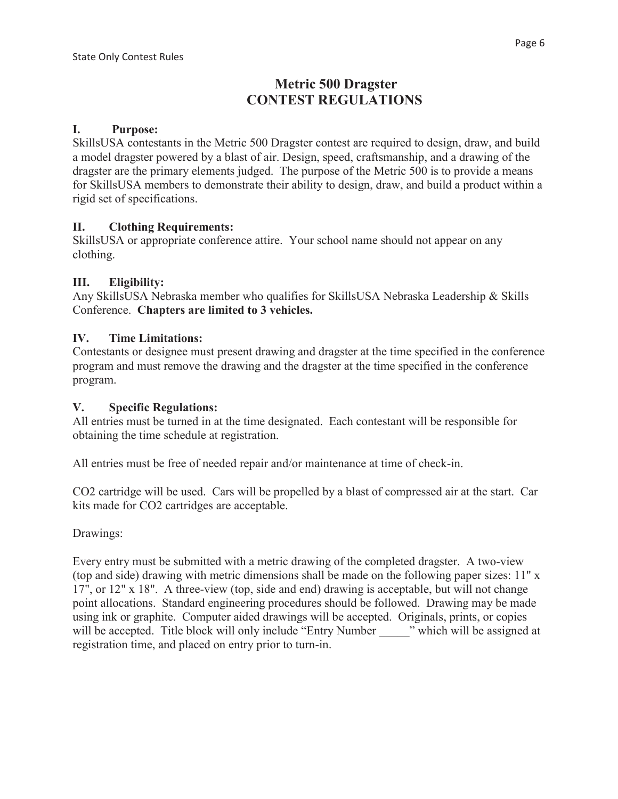# **Metric 500 Dragster CONTEST REGULATIONS**

#### **I. Purpose:**

SkillsUSA contestants in the Metric 500 Dragster contest are required to design, draw, and build a model dragster powered by a blast of air. Design, speed, craftsmanship, and a drawing of the dragster are the primary elements judged. The purpose of the Metric 500 is to provide a means for SkillsUSA members to demonstrate their ability to design, draw, and build a product within a rigid set of specifications.

## **II. Clothing Requirements:**

SkillsUSA or appropriate conference attire. Your school name should not appear on any clothing.

#### **III. Eligibility:**

Any SkillsUSA Nebraska member who qualifies for SkillsUSA Nebraska Leadership & Skills Conference. **Chapters are limited to 3 vehicles.**

#### **IV. Time Limitations:**

Contestants or designee must present drawing and dragster at the time specified in the conference program and must remove the drawing and the dragster at the time specified in the conference program.

#### **V. Specific Regulations:**

All entries must be turned in at the time designated. Each contestant will be responsible for obtaining the time schedule at registration.

All entries must be free of needed repair and/or maintenance at time of check-in.

CO2 cartridge will be used. Cars will be propelled by a blast of compressed air at the start. Car kits made for CO2 cartridges are acceptable.

Drawings:

Every entry must be submitted with a metric drawing of the completed dragster. A two-view (top and side) drawing with metric dimensions shall be made on the following paper sizes: 11" x 17", or 12" x 18". A three-view (top, side and end) drawing is acceptable, but will not change point allocations. Standard engineering procedures should be followed. Drawing may be made using ink or graphite. Computer aided drawings will be accepted. Originals, prints, or copies will be accepted. Title block will only include "Entry Number" which will be assigned at registration time, and placed on entry prior to turn-in.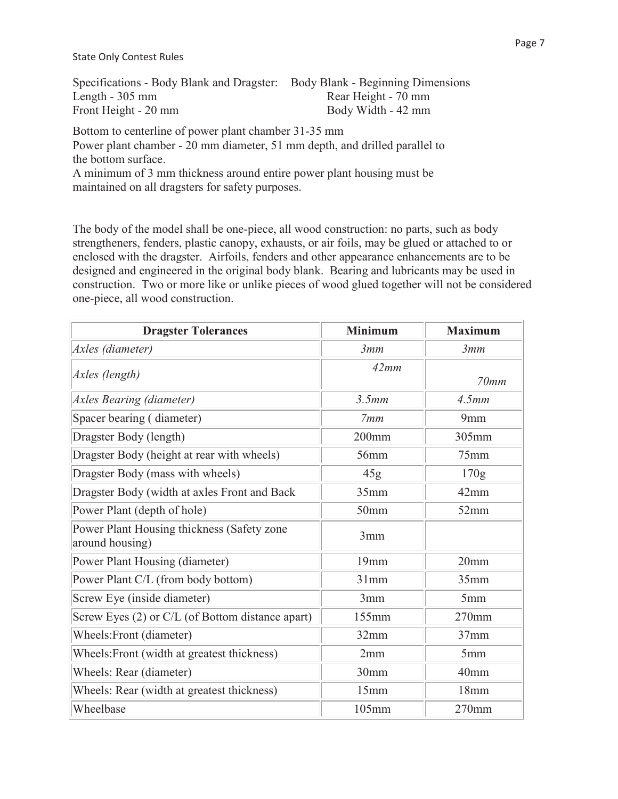State Only Contest Rules

| Specifications - Body Blank and Dragster: Body Blank - Beginning Dimensions |                     |
|-----------------------------------------------------------------------------|---------------------|
| Length $-305$ mm                                                            | Rear Height - 70 mm |
| Front Height - 20 mm                                                        | Body Width - 42 mm  |

Bottom to centerline of power plant chamber 31-35 mm Power plant chamber - 20 mm diameter, 51 mm depth, and drilled parallel to the bottom surface. A minimum of 3 mm thickness around entire power plant housing must be maintained on all dragsters for safety purposes.

The body of the model shall be one-piece, all wood construction: no parts, such as body strengtheners, fenders, plastic canopy, exhausts, or air foils, may be glued or attached to or enclosed with the dragster. Airfoils, fenders and other appearance enhancements are to be designed and engineered in the original body blank. Bearing and lubricants may be used in construction. Two or more like or unlike pieces of wood glued together will not be considered one-piece, all wood construction.

| <b>Dragster Tolerances</b>                                    | <b>Minimum</b>   | <b>Maximum</b>   |
|---------------------------------------------------------------|------------------|------------------|
| Axles (diameter)                                              | 3mm              | 3mm              |
| Axles (length)                                                | 42mm             | 70mm             |
| <b>Axles Bearing (diameter)</b>                               | 3.5mm            | 4.5mm            |
| Spacer bearing (diameter)                                     | 7mm              | 9mm              |
| Dragster Body (length)                                        | $200$ mm         | 305mm            |
| Dragster Body (height at rear with wheels)                    | 56mm             | 75mm             |
| Dragster Body (mass with wheels)                              | 45g              | 170g             |
| Dragster Body (width at axles Front and Back                  | 35mm             | $42$ mm          |
| Power Plant (depth of hole)                                   | 50 <sub>mm</sub> | 52mm             |
| Power Plant Housing thickness (Safety zone<br>around housing) | 3mm              |                  |
| Power Plant Housing (diameter)                                | 19mm             | 20 <sub>mm</sub> |
| Power Plant C/L (from body bottom)                            | 31mm             | 35mm             |
| Screw Eye (inside diameter)                                   | 3mm              | 5mm              |
| Screw Eyes (2) or C/L (of Bottom distance apart)              | 155mm            | 270mm            |
| Wheels: Front (diameter)                                      | 32mm             | $37$ mm          |
| Wheels: Front (width at greatest thickness)                   | 2mm              | 5mm              |
| Wheels: Rear (diameter)                                       | 30mm             | 40 <sub>mm</sub> |
| Wheels: Rear (width at greatest thickness)                    | 15mm             | 18mm             |
| Wheelbase                                                     | 105mm            | $270$ mm         |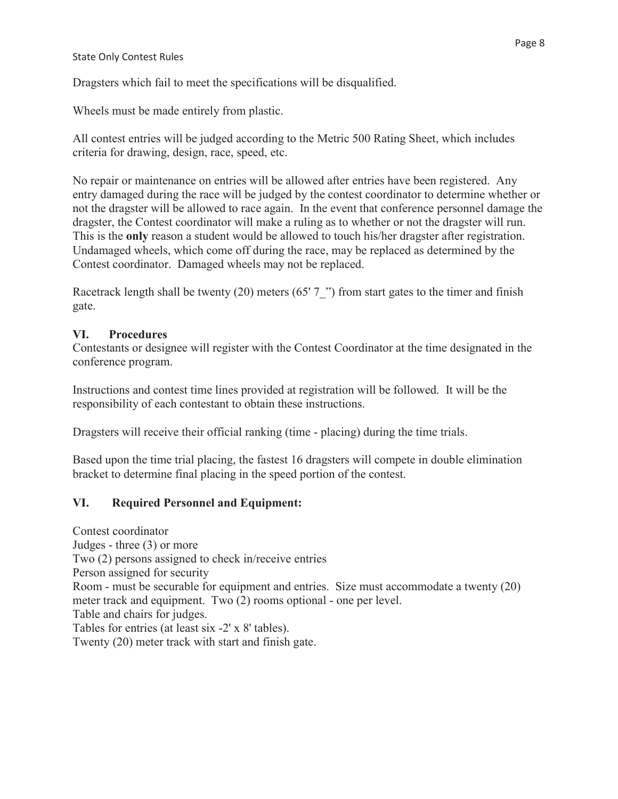#### State Only Contest Rules

Dragsters which fail to meet the specifications will be disqualified.

Wheels must be made entirely from plastic.

All contest entries will be judged according to the Metric 500 Rating Sheet, which includes criteria for drawing, design, race, speed, etc.

No repair or maintenance on entries will be allowed after entries have been registered. Any entry damaged during the race will be judged by the contest coordinator to determine whether or not the dragster will be allowed to race again. In the event that conference personnel damage the dragster, the Contest coordinator will make a ruling as to whether or not the dragster will run. This is the **only** reason a student would be allowed to touch his/her dragster after registration. Undamaged wheels, which come off during the race, may be replaced as determined by the Contest coordinator. Damaged wheels may not be replaced.

Racetrack length shall be twenty (20) meters (65' 7") from start gates to the timer and finish gate.

#### **VI. Procedures**

Contestants or designee will register with the Contest Coordinator at the time designated in the conference program.

Instructions and contest time lines provided at registration will be followed. It will be the responsibility of each contestant to obtain these instructions.

Dragsters will receive their official ranking (time - placing) during the time trials.

Based upon the time trial placing, the fastest 16 dragsters will compete in double elimination bracket to determine final placing in the speed portion of the contest.

## **VI. Required Personnel and Equipment:**

Contest coordinator Judges - three (3) or more Two (2) persons assigned to check in/receive entries Person assigned for security Room - must be securable for equipment and entries. Size must accommodate a twenty (20) meter track and equipment. Two (2) rooms optional - one per level. Table and chairs for judges. Tables for entries (at least six -2' x 8' tables). Twenty (20) meter track with start and finish gate.